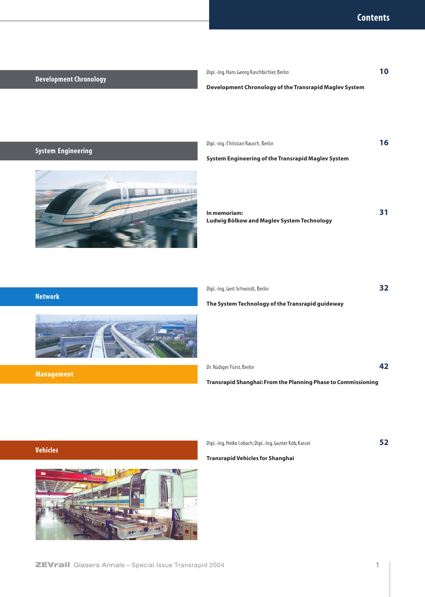## **Development Chronology**

Dipl.-Ing. Hans Georg Raschbichler, Berlin **10**

#### **Development Chronology of the Transrapid Maglev System**

# **System Engineering**





**System Engineering of the Transrapid Maglev System**

**In memoriam: 31 Ludwig Bölkow and Maglev System Technology**

| <b>INCLANDIN</b> |  |
|------------------|--|
|                  |  |
|                  |  |
|                  |  |
|                  |  |
|                  |  |
|                  |  |

**Management**

**Network**

| Dipl.-Ing. Gert Schwindt, Berlin                 | 32 |
|--------------------------------------------------|----|
| The System Technology of the Transrapid guideway |    |

**Transrapid Shanghai: From the Planning Phase to Commissioning**

Dr. Rüdiger Fürst, Berlin **42**

**Vehicles**



Dipl.-Ing. Heiko Lobach, Dipl.-Ing. Gunter Köb, Kassel **52**

**Transrapid Vehicles for Shanghai**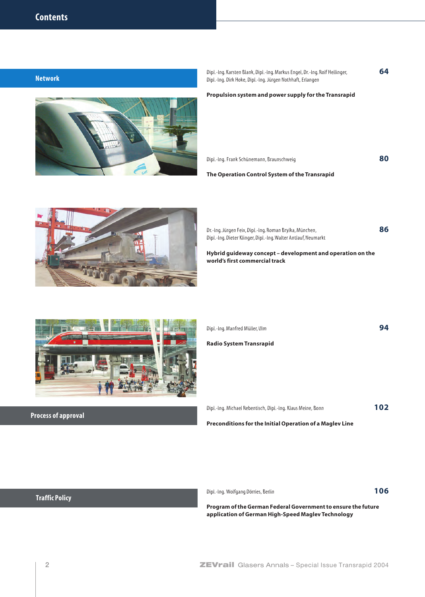**Network**

Dipl.-Ing. Karsten Blank, Dipl.-Ing. Markus Engel, Dr.-Ing. Rolf Hellinger, **64** Dipl.-Ing. Dirk Hoke, Dipl.-Ing. Jürgen Nothhaft, Erlangen

#### **Propulsion system and power supply for the Transrapid**

Dipl.-Ing. Frank Schünemann, Braunschweig **80**

**The Operation Control System of the Transrapid**

Dr.-Ing. Jürgen Feix, Dipl.-Ing. Roman Brylka, München, **86** Dipl.-Ing. Dieter Klinger, Dipl.-Ing. Walter Antlauf, Neumarkt

**Hybrid guideway concept – development and operation on the world's first commercial track**

| Dipl.-Ing. Manfred Müller, Ulm | 94 |
|--------------------------------|----|
|                                |    |

**Radio System Transrapid**

Dipl.-Ing. Michael Rebentisch, Dipl.-Ing. Klaus Meine, Bonn **102**

### **Preconditions for the Initial Operation of a Maglev Line**

## **Traffic Policy**

Dipl.-Ing. Wolfgang Dörries, Berlin **106**

2 **ZEVrail** Glasers Annals – Special Issue Transrapid 2004

**Program of the German Federal Government to ensure the future application of German High-Speed Maglev Technology**

**Process of approval**